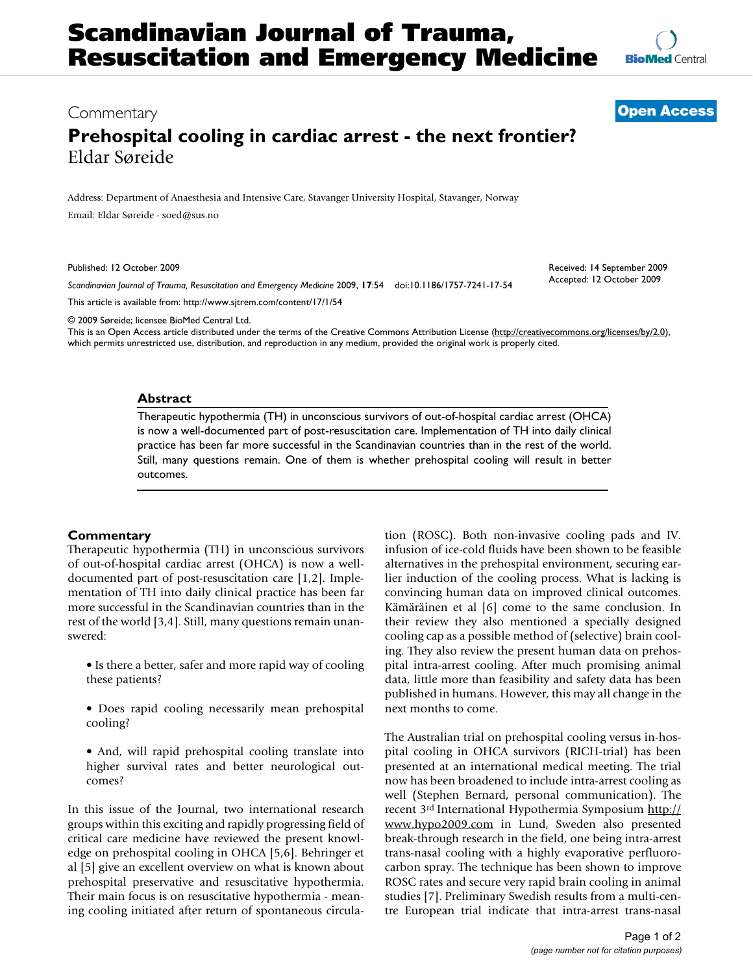Received: 14 September 2009 Accepted: 12 October 2009

## Commentary **[Open Access](http://www.biomedcentral.com/info/about/charter/)**

# **Prehospital cooling in cardiac arrest - the next frontier?** Eldar Søreide

Address: Department of Anaesthesia and Intensive Care, Stavanger University Hospital, Stavanger, Norway Email: Eldar Søreide - soed@sus.no

Published: 12 October 2009

*Scandinavian Journal of Trauma, Resuscitation and Emergency Medicine* 2009, **17**:54 doi:10.1186/1757-7241-17-54

[This article is available from: http://www.sjtrem.com/content/17/1/54](http://www.sjtrem.com/content/17/1/54)

© 2009 Søreide; licensee BioMed Central Ltd.

This is an Open Access article distributed under the terms of the Creative Commons Attribution License [\(http://creativecommons.org/licenses/by/2.0\)](http://creativecommons.org/licenses/by/2.0), which permits unrestricted use, distribution, and reproduction in any medium, provided the original work is properly cited.

#### **Abstract**

Therapeutic hypothermia (TH) in unconscious survivors of out-of-hospital cardiac arrest (OHCA) is now a well-documented part of post-resuscitation care. Implementation of TH into daily clinical practice has been far more successful in the Scandinavian countries than in the rest of the world. Still, many questions remain. One of them is whether prehospital cooling will result in better outcomes.

### **Commentary**

Therapeutic hypothermia (TH) in unconscious survivors of out-of-hospital cardiac arrest (OHCA) is now a welldocumented part of post-resuscitation care [1,2]. Implementation of TH into daily clinical practice has been far more successful in the Scandinavian countries than in the rest of the world [3,4]. Still, many questions remain unanswered:

- Is there a better, safer and more rapid way of cooling these patients?
- Does rapid cooling necessarily mean prehospital cooling?
- And, will rapid prehospital cooling translate into higher survival rates and better neurological outcomes?

In this issue of the Journal, two international research groups within this exciting and rapidly progressing field of critical care medicine have reviewed the present knowledge on prehospital cooling in OHCA [5,6]. Behringer et al [5] give an excellent overview on what is known about prehospital preservative and resuscitative hypothermia. Their main focus is on resuscitative hypothermia - meaning cooling initiated after return of spontaneous circulation (ROSC). Both non-invasive cooling pads and IV. infusion of ice-cold fluids have been shown to be feasible alternatives in the prehospital environment, securing earlier induction of the cooling process. What is lacking is convincing human data on improved clinical outcomes. Kämäräinen et al [6] come to the same conclusion. In their review they also mentioned a specially designed cooling cap as a possible method of (selective) brain cooling. They also review the present human data on prehospital intra-arrest cooling. After much promising animal data, little more than feasibility and safety data has been published in humans. However, this may all change in the next months to come.

The Australian trial on prehospital cooling versus in-hospital cooling in OHCA survivors (RICH-trial) has been presented at an international medical meeting. The trial now has been broadened to include intra-arrest cooling as well (Stephen Bernard, personal communication). The recent 3rd International Hypothermia Symposium [http://](http://www.hypo2009.com) [www.hypo2009.com](http://www.hypo2009.com) in Lund, Sweden also presented break-through research in the field, one being intra-arrest trans-nasal cooling with a highly evaporative perfluorocarbon spray. The technique has been shown to improve ROSC rates and secure very rapid brain cooling in animal studies [7]. Preliminary Swedish results from a multi-centre European trial indicate that intra-arrest trans-nasal